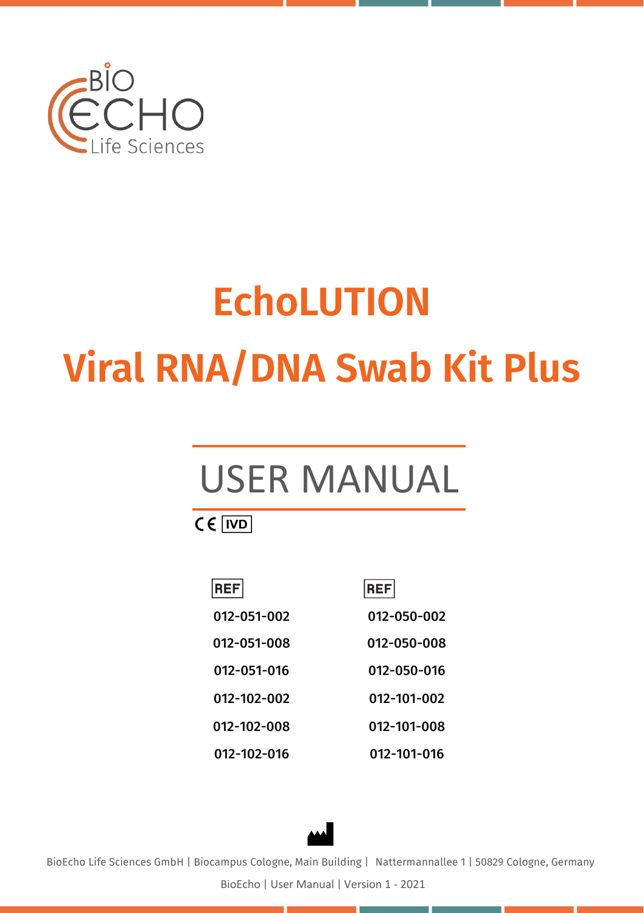

# **EchoLUTION Viral RNA/DNA Swab Kit Plus**

# USER MANUAL

 $CE$   $|VD|$ 

| <b>REF</b>  | <b>REF</b>  |
|-------------|-------------|
| 012-051-002 | 012-050-002 |
| 012-051-008 | 012-050-008 |
| 012-051-016 | 012-050-016 |
| 012-102-002 | 012-101-002 |
| 012-102-008 | 012-101-008 |
| 012-102-016 | 012-101-016 |



BioEcho Life Sciences GmbH | Biocampus Cologne, Main Building | Nattermannallee 1 | 50829 Cologne, Germany

BioEcho | User Manual | Version 1 - 2021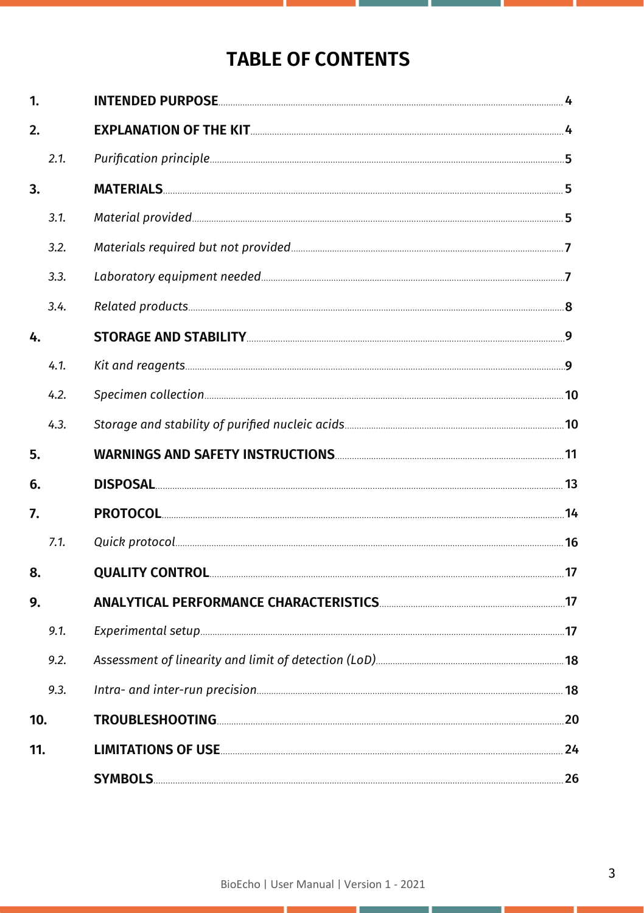## **TABLE OF CONTENTS**

| 1.   |  |
|------|--|
| 2.   |  |
| 2.1. |  |
| 3.   |  |
| 3.1. |  |
| 3.2. |  |
| 3.3. |  |
| 3.4. |  |
| 4.   |  |
| 4.1. |  |
| 4.2. |  |
| 4.3. |  |
| 5.   |  |
| 6.   |  |
| 7.   |  |
| 7.1. |  |
| 8.   |  |
| 9.   |  |
| 9.1. |  |
| 9.2. |  |
| 9.3. |  |
| 10.  |  |
| 11.  |  |
|      |  |

г

r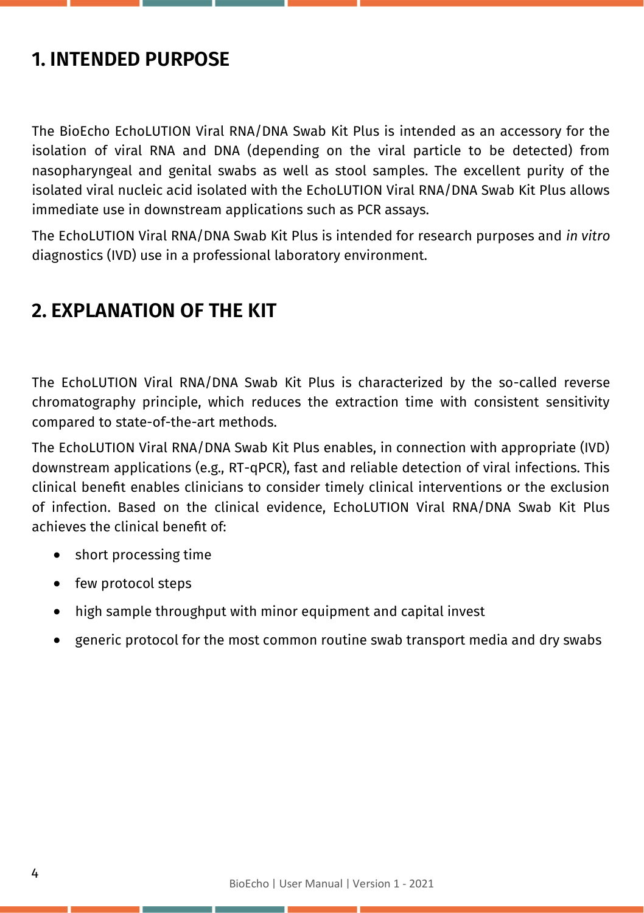## **1. INTENDED PURPOSE**

The BioEcho EchoLUTION Viral RNA/DNA Swab Kit Plus is intended as an accessory for the isolation of viral RNA and DNA (depending on the viral particle to be detected) from nasopharyngeal and genital swabs as well as stool samples. The excellent purity of the isolated viral nucleic acid isolated with the EchoLUTION Viral RNA/DNA Swab Kit Plus allows immediate use in downstream applications such as PCR assays.

The EchoLUTION Viral RNA/DNA Swab Kit Plus is intended for research purposes and *in vitro* diagnostics (IVD) use in a professional laboratory environment.

## **2. EXPLANATION OF THE KIT**

The EchoLUTION Viral RNA/DNA Swab Kit Plus is characterized by the so-called reverse chromatography principle, which reduces the extraction time with consistent sensitivity compared to state-of-the-art methods.

The EchoLUTION Viral RNA/DNA Swab Kit Plus enables, in connection with appropriate (IVD) downstream applications (e.g., RT-qPCR), fast and reliable detection of viral infections. This clinical benefit enables clinicians to consider timely clinical interventions or the exclusion of infection. Based on the clinical evidence, EchoLUTION Viral RNA/DNA Swab Kit Plus achieves the clinical benefit of:

- short processing time
- few protocol steps
- high sample throughput with minor equipment and capital invest
- generic protocol for the most common routine swab transport media and dry swabs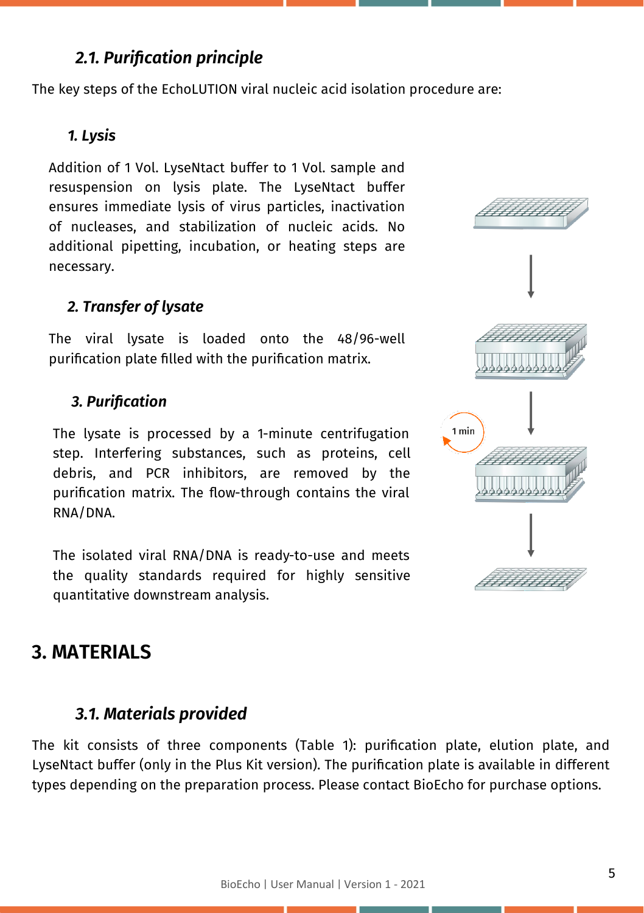## *2.1. Purification principle*

The key steps of the EchoLUTION viral nucleic acid isolation procedure are:

#### *1. Lysis*

Addition of 1 Vol. LyseNtact buffer to 1 Vol. sample and resuspension on lysis plate. The LyseNtact buffer ensures immediate lysis of virus particles, inactivation of nucleases, and stabilization of nucleic acids. No additional pipetting, incubation, or heating steps are necessary.

#### *2. Transfer of lysate*

The viral lysate is loaded onto the 48/96-well purification plate filled with the purification matrix.

#### *3. Purification*

The lysate is processed by a 1-minute centrifugation step. Interfering substances, such as proteins, cell debris, and PCR inhibitors, are removed by the purification matrix. The flow-through contains the viral RNA/DNA.

The isolated viral RNA/DNA is ready-to-use and meets the quality standards required for highly sensitive quantitative downstream analysis.

## **3. MATERIALS**

#### *3.1. Materials provided*

The kit consists of three components (Table 1): purification plate, elution plate, and LyseNtact buffer (only in the Plus Kit version). The purification plate is available in different types depending on the preparation process. Please contact BioEcho for purchase options.

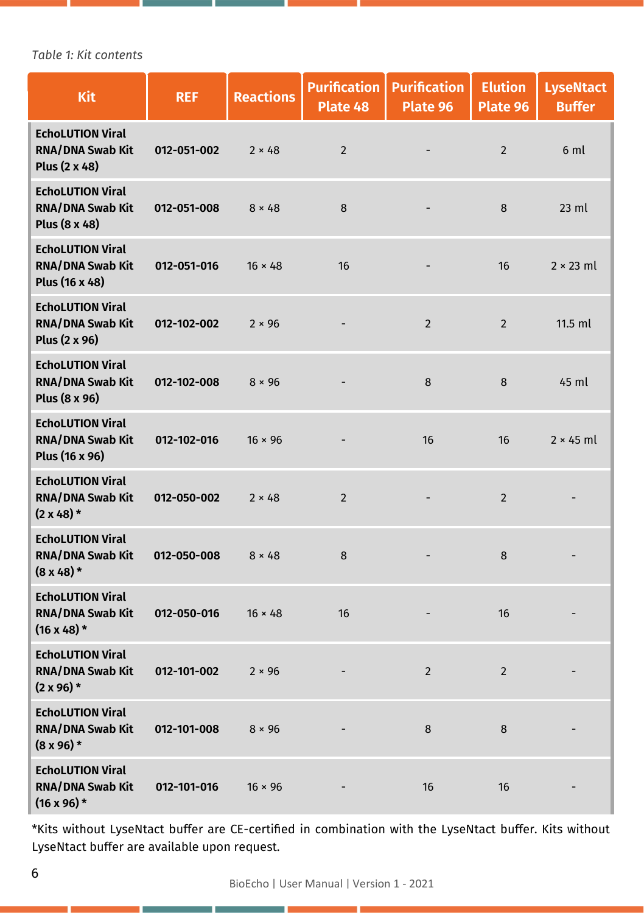*Table 1: Kit contents*

| <b>Kit</b>                                                               | <b>REF</b>  | <b>Reactions</b> | <b>Purification</b><br>Plate 48 | <b>Purification</b><br>Plate 96 | <b>Elution</b><br>Plate 96 | <b>LyseNtact</b><br><b>Buffer</b> |
|--------------------------------------------------------------------------|-------------|------------------|---------------------------------|---------------------------------|----------------------------|-----------------------------------|
| <b>EchoLUTION Viral</b><br>RNA/DNA Swab Kit<br>Plus (2 x 48)             | 012-051-002 | $2 \times 48$    | $\overline{2}$                  |                                 | $\overline{2}$             | 6 ml                              |
| <b>EchoLUTION Viral</b><br>RNA/DNA Swab Kit<br>Plus (8 x 48)             | 012-051-008 | $8 \times 48$    | 8                               |                                 | 8                          | $23$ ml                           |
| <b>EchoLUTION Viral</b><br><b>RNA/DNA Swab Kit</b><br>Plus (16 x 48)     | 012-051-016 | $16 \times 48$   | 16                              |                                 | 16                         | $2 \times 23$ ml                  |
| <b>EchoLUTION Viral</b><br><b>RNA/DNA Swab Kit</b><br>Plus (2 x 96)      | 012-102-002 | $2 \times 96$    |                                 | $\overline{2}$                  | $\overline{2}$             | $11.5$ ml                         |
| <b>EchoLUTION Viral</b><br><b>RNA/DNA Swab Kit</b><br>Plus (8 x 96)      | 012-102-008 | $8 \times 96$    |                                 | 8                               | 8                          | 45 ml                             |
| <b>EchoLUTION Viral</b><br><b>RNA/DNA Swab Kit</b><br>Plus (16 x 96)     | 012-102-016 | $16 \times 96$   |                                 | 16                              | 16                         | $2 \times 45$ ml                  |
| <b>EchoLUTION Viral</b><br><b>RNA/DNA Swab Kit</b><br>$(2 \times 48)^*$  | 012-050-002 | $2 \times 48$    | $\overline{2}$                  |                                 | $\overline{2}$             |                                   |
| <b>EchoLUTION Viral</b><br>RNA/DNA Swab Kit<br>$(8x48)$ *                | 012-050-008 | $8 \times 48$    | 8                               |                                 | 8                          |                                   |
| <b>EchoLUTION Viral</b><br><b>RNA/DNA Swab Kit</b><br>$(16 \times 48)$ * | 012-050-016 | $16 \times 48$   | 16                              |                                 | 16                         |                                   |
| <b>EchoLUTION Viral</b><br><b>RNA/DNA Swab Kit</b><br>$(2 \times 96)$ *  | 012-101-002 | $2 \times 96$    |                                 | $\overline{2}$                  | $\overline{2}$             |                                   |
| <b>EchoLUTION Viral</b><br><b>RNA/DNA Swab Kit</b><br>$(8 \times 96)$ *  | 012-101-008 | $8 \times 96$    |                                 | 8                               | 8                          |                                   |
| <b>EchoLUTION Viral</b><br><b>RNA/DNA Swab Kit</b><br>$(16 \times 96)$ * | 012-101-016 | $16 \times 96$   |                                 | 16                              | 16                         |                                   |

\*Kits without LyseNtact buffer are CE-certified in combination with the LyseNtact buffer. Kits without LyseNtact buffer are available upon request.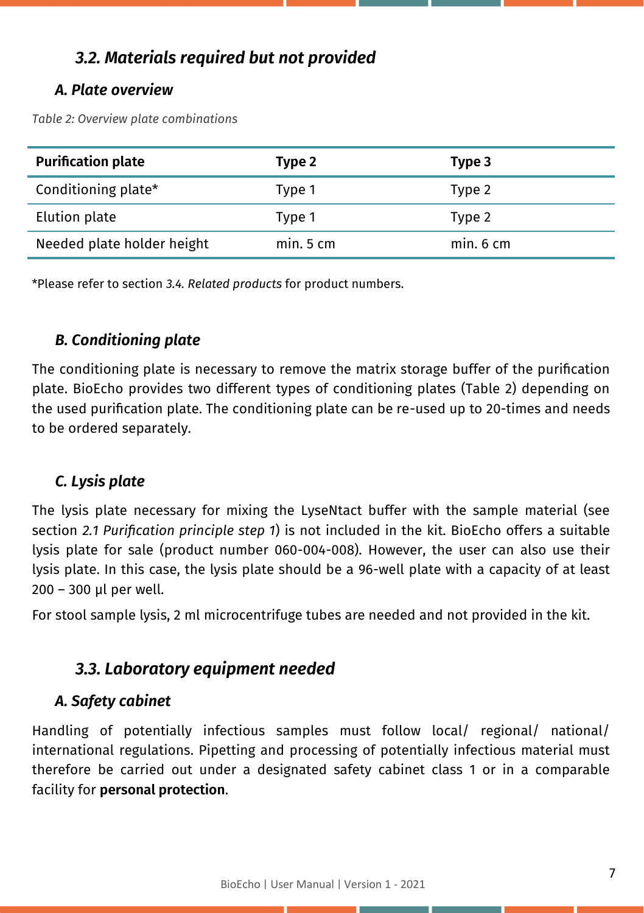## *3.2. Materials required but not provided*

#### *A. Plate overview*

*Table 2: Overview plate combinations*

| <b>Purification plate</b>  | Type 2     | Type 3  |
|----------------------------|------------|---------|
| Conditioning plate*        | Type 1     | Type 2  |
| Elution plate              | Type 1     | Type 2  |
| Needed plate holder height | $min.5$ cm | min.6cm |

\*Please refer to section *3.4. Related products* for product numbers.

### *B. Conditioning plate*

The conditioning plate is necessary to remove the matrix storage buffer of the purification plate. BioEcho provides two different types of conditioning plates (Table 2) depending on the used purification plate. The conditioning plate can be re-used up to 20-times and needs to be ordered separately.

### *C. Lysis plate*

The lysis plate necessary for mixing the LyseNtact buffer with the sample material (see section *2.1 Purification principle step 1*) is not included in the kit. BioEcho offers a suitable lysis plate for sale (product number 060-004-008). However, the user can also use their lysis plate. In this case, the lysis plate should be a 96-well plate with a capacity of at least 200 – 300 µl per well.

For stool sample lysis, 2 ml microcentrifuge tubes are needed and not provided in the kit.

## *3.3. Laboratory equipment needed*

### *A. Safety cabinet*

Handling of potentially infectious samples must follow local/ regional/ national/ international regulations. Pipetting and processing of potentially infectious material must therefore be carried out under a designated safety cabinet class 1 or in a comparable facility for **personal protection**.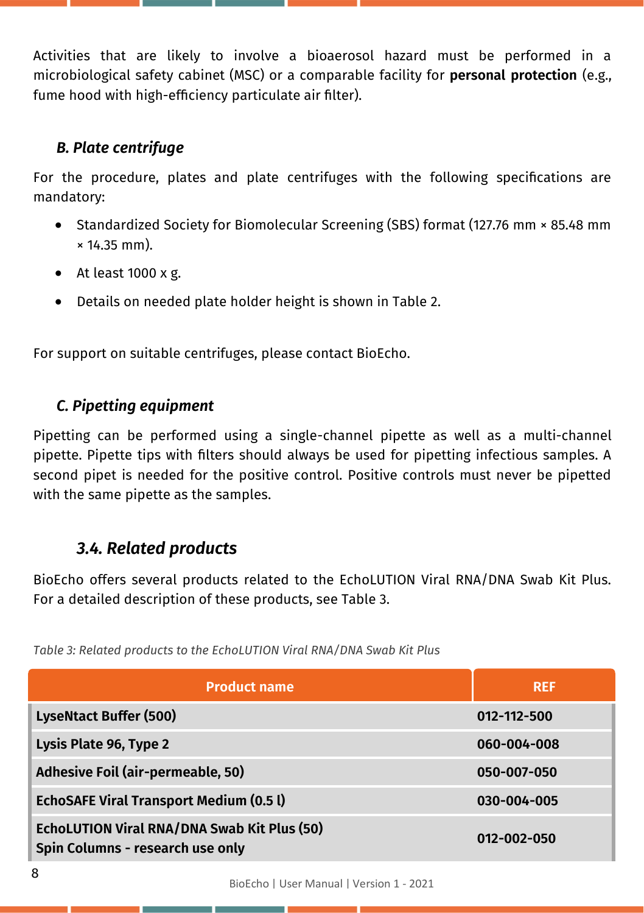Activities that are likely to involve a bioaerosol hazard must be performed in a microbiological safety cabinet (MSC) or a comparable facility for **personal protection** (e.g., fume hood with high-efficiency particulate air filter).

#### *B. Plate centrifuge*

For the procedure, plates and plate centrifuges with the following specifications are mandatory:

- Standardized Society for Biomolecular Screening (SBS) format (127.76 mm × 85.48 mm × 14.35 mm).
- At least 1000 x g.
- Details on needed plate holder height is shown in Table 2.

For support on suitable centrifuges, please contact BioEcho.

### *C. Pipetting equipment*

Pipetting can be performed using a single-channel pipette as well as a multi-channel pipette. Pipette tips with filters should always be used for pipetting infectious samples. A second pipet is needed for the positive control. Positive controls must never be pipetted with the same pipette as the samples.

## *3.4. Related products*

BioEcho offers several products related to the EchoLUTION Viral RNA/DNA Swab Kit Plus. For a detailed description of these products, see Table 3.

| <b>Product name</b>                                                                    | <b>REF</b>  |
|----------------------------------------------------------------------------------------|-------------|
| <b>LyseNtact Buffer (500)</b>                                                          | 012-112-500 |
| Lysis Plate 96, Type 2                                                                 | 060-004-008 |
| Adhesive Foil (air-permeable, 50)                                                      | 050-007-050 |
| <b>EchoSAFE Viral Transport Medium (0.5 l)</b>                                         | 030-004-005 |
| <b>EchoLUTION Viral RNA/DNA Swab Kit Plus (50)</b><br>Spin Columns - research use only | 012-002-050 |

*Table 3: Related products to the EchoLUTION Viral RNA/DNA Swab Kit Plus*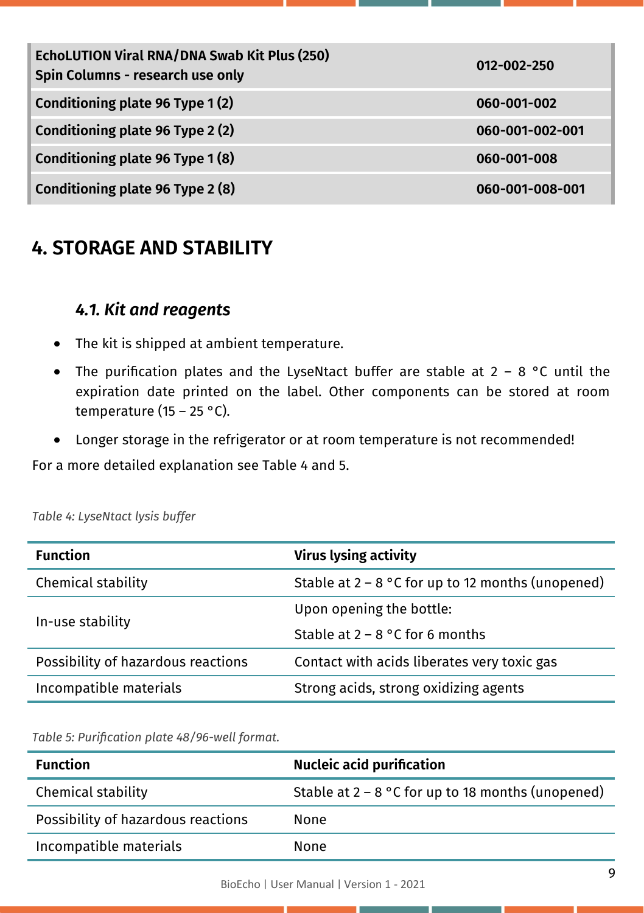| EchoLUTION Viral RNA/DNA Swab Kit Plus (250)<br>Spin Columns - research use only | 012-002-250     |
|----------------------------------------------------------------------------------|-----------------|
| Conditioning plate 96 Type 1(2)                                                  | 060-001-002     |
| Conditioning plate 96 Type 2 (2)                                                 | 060-001-002-001 |
| Conditioning plate 96 Type 1(8)                                                  | 060-001-008     |
| Conditioning plate 96 Type 2 (8)                                                 | 060-001-008-001 |

## **4. STORAGE AND STABILITY**

## *4.1. Kit and reagents*

- The kit is shipped at ambient temperature.
- The purification plates and the LyseNtact buffer are stable at  $2 8$  °C until the expiration date printed on the label. Other components can be stored at room temperature (15 – 25 °C).
- Longer storage in the refrigerator or at room temperature is not recommended!

For a more detailed explanation see Table 4 and 5.

| <b>Function</b>                    | <b>Virus lysing activity</b>                        |
|------------------------------------|-----------------------------------------------------|
| Chemical stability                 | Stable at $2 - 8$ °C for up to 12 months (unopened) |
|                                    | Upon opening the bottle:                            |
| In-use stability                   | Stable at $2 - 8$ °C for 6 months                   |
| Possibility of hazardous reactions | Contact with acids liberates very toxic gas         |
| Incompatible materials             | Strong acids, strong oxidizing agents               |

*Table 4: LyseNtact lysis buffer*

*Table 5: Purification plate 48/96-well format.*

| <b>Function</b>                    | <b>Nucleic acid purification</b>                    |
|------------------------------------|-----------------------------------------------------|
| Chemical stability                 | Stable at $2 - 8$ °C for up to 18 months (unopened) |
| Possibility of hazardous reactions | None                                                |
| Incompatible materials             | None                                                |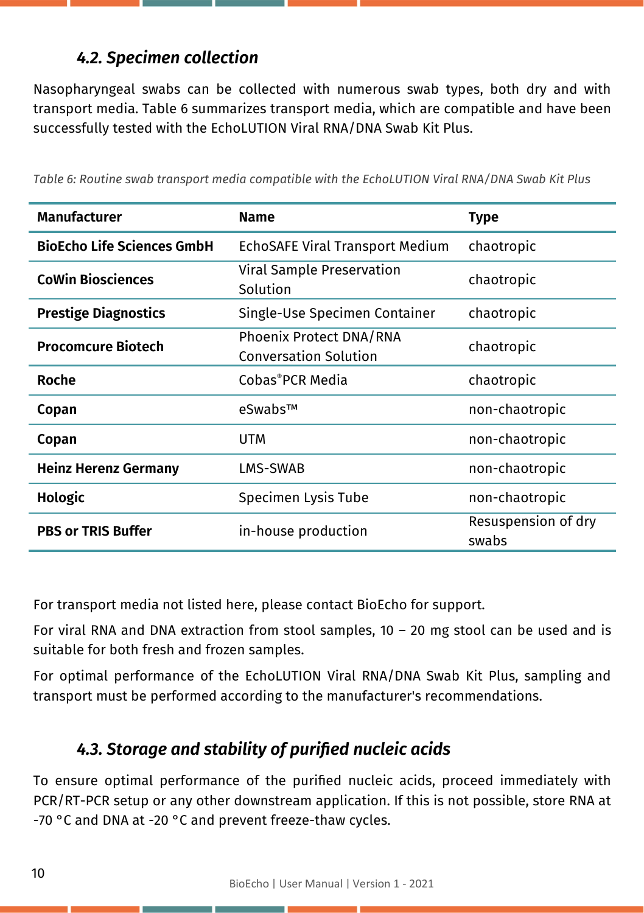## *4.2. Specimen collection*

Nasopharyngeal swabs can be collected with numerous swab types, both dry and with transport media. Table 6 summarizes transport media, which are compatible and have been successfully tested with the EchoLUTION Viral RNA/DNA Swab Kit Plus.

| <b>Manufacturer</b>               | <b>Name</b>                                             | <b>Type</b>                  |
|-----------------------------------|---------------------------------------------------------|------------------------------|
| <b>BioEcho Life Sciences GmbH</b> | <b>EchoSAFE Viral Transport Medium</b>                  | chaotropic                   |
| <b>CoWin Biosciences</b>          | Viral Sample Preservation<br>Solution                   | chaotropic                   |
| <b>Prestige Diagnostics</b>       | Single-Use Specimen Container                           | chaotropic                   |
| <b>Procomcure Biotech</b>         | Phoenix Protect DNA/RNA<br><b>Conversation Solution</b> | chaotropic                   |
| Roche                             | Cobas®PCR Media                                         | chaotropic                   |
| Copan                             | eSwabs™                                                 | non-chaotropic               |
| Copan                             | UTM                                                     | non-chaotropic               |
| <b>Heinz Herenz Germany</b>       | LMS-SWAB                                                | non-chaotropic               |
| Hologic                           | Specimen Lysis Tube                                     | non-chaotropic               |
| <b>PBS or TRIS Buffer</b>         | in-house production                                     | Resuspension of dry<br>swabs |

*Table 6: Routine swab transport media compatible with the EchoLUTION Viral RNA/DNA Swab Kit Plus*

For transport media not listed here, please contact BioEcho for support.

For viral RNA and DNA extraction from stool samples, 10 – 20 mg stool can be used and is suitable for both fresh and frozen samples.

For optimal performance of the EchoLUTION Viral RNA/DNA Swab Kit Plus, sampling and transport must be performed according to the manufacturer's recommendations.

## *4.3. Storage and stability of purified nucleic acids*

To ensure optimal performance of the purified nucleic acids, proceed immediately with PCR/RT-PCR setup or any other downstream application. If this is not possible, store RNA at -70 °C and DNA at -20 °C and prevent freeze-thaw cycles.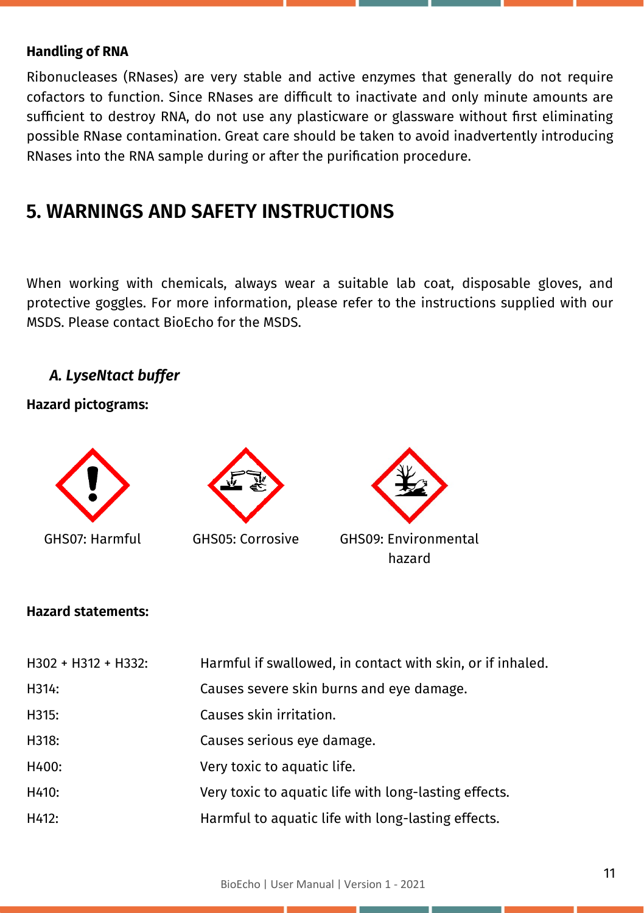#### **Handling of RNA**

Ribonucleases (RNases) are very stable and active enzymes that generally do not require cofactors to function. Since RNases are difficult to inactivate and only minute amounts are sufficient to destroy RNA, do not use any plasticware or glassware without first eliminating possible RNase contamination. Great care should be taken to avoid inadvertently introducing RNases into the RNA sample during or after the purification procedure.

## **5. WARNINGS AND SAFETY INSTRUCTIONS**

When working with chemicals, always wear a suitable lab coat, disposable gloves, and protective goggles. For more information, please refer to the instructions supplied with our MSDS. Please contact BioEcho for the MSDS.

#### *A. LyseNtact buffer*

**Hazard pictograms:**



#### **Hazard statements:**

| H302 + H312 + H332: | Harmful if swallowed, in contact with skin, or if inhaled. |
|---------------------|------------------------------------------------------------|
| H314:               | Causes severe skin burns and eve damage.                   |
| H315:               | Causes skin irritation.                                    |
| H318:               | Causes serious eye damage.                                 |
| H400:               | Very toxic to aquatic life.                                |
| H410:               | Very toxic to aquatic life with long-lasting effects.      |
| H412:               | Harmful to aquatic life with long-lasting effects.         |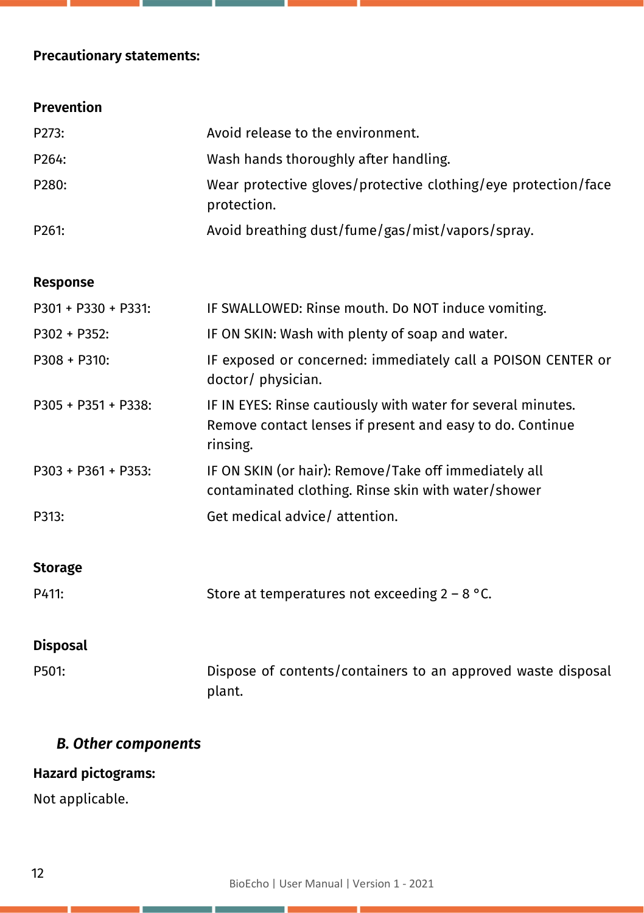## **Precautionary statements:**

| Prevention |
|------------|
|            |
|            |

| P273:               | Avoid release to the environment.                                                                                                     |
|---------------------|---------------------------------------------------------------------------------------------------------------------------------------|
| P264:               | Wash hands thoroughly after handling.                                                                                                 |
| P280:               | Wear protective gloves/protective clothing/eye protection/face<br>protection.                                                         |
| P261:               | Avoid breathing dust/fume/gas/mist/vapors/spray.                                                                                      |
|                     |                                                                                                                                       |
| <b>Response</b>     |                                                                                                                                       |
| P301 + P330 + P331: | IF SWALLOWED: Rinse mouth. Do NOT induce vomiting.                                                                                    |
| P302 + P352:        | IF ON SKIN: Wash with plenty of soap and water.                                                                                       |
| P308 + P310:        | IF exposed or concerned: immediately call a POISON CENTER or<br>doctor/ physician.                                                    |
| P305 + P351 + P338: | IF IN EYES: Rinse cautiously with water for several minutes.<br>Remove contact lenses if present and easy to do. Continue<br>rinsing. |
| P303 + P361 + P353: | IF ON SKIN (or hair): Remove/Take off immediately all<br>contaminated clothing. Rinse skin with water/shower                          |
| P313:               | Get medical advice/ attention.                                                                                                        |
| <b>Storage</b>      |                                                                                                                                       |
| P411:               | Store at temperatures not exceeding $2 - 8$ °C.                                                                                       |
|                     |                                                                                                                                       |
| <b>Disposal</b>     |                                                                                                                                       |
| P501:               | Dispose of contents/containers to an approved waste disposal<br>plant.                                                                |

## *B. Other components*

## **Hazard pictograms:**

Not applicable.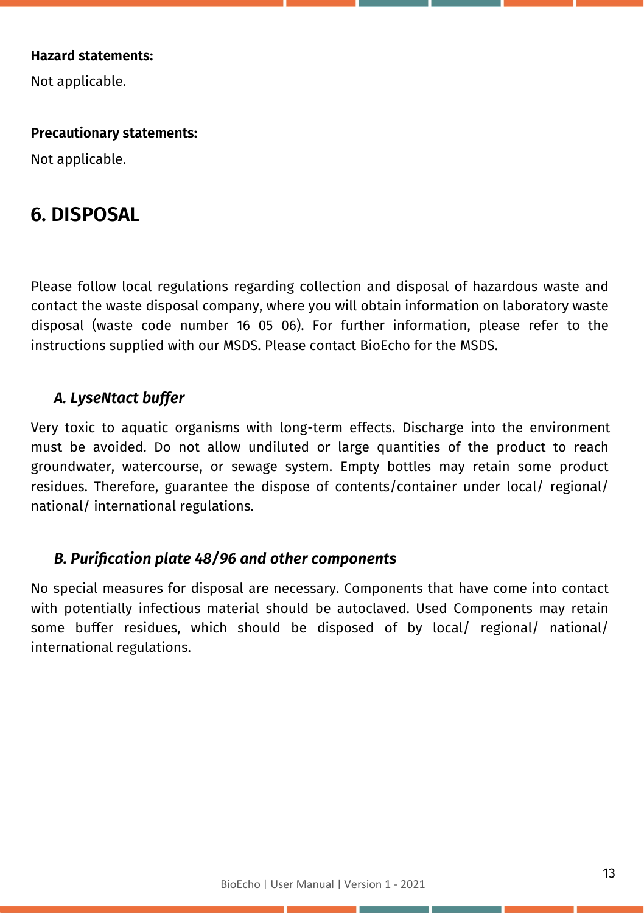#### **Hazard statements:**

Not applicable.

#### **Precautionary statements:**

Not applicable.

## **6. DISPOSAL**

Please follow local regulations regarding collection and disposal of hazardous waste and contact the waste disposal company, where you will obtain information on laboratory waste disposal (waste code number 16 05 06). For further information, please refer to the instructions supplied with our MSDS. Please contact BioEcho for the MSDS.

#### *A. LyseNtact buffer*

Very toxic to aquatic organisms with long-term effects. Discharge into the environment must be avoided. Do not allow undiluted or large quantities of the product to reach groundwater, watercourse, or sewage system. Empty bottles may retain some product residues. Therefore, guarantee the dispose of contents/container under local/ regional/ national/ international regulations.

#### *B. Purification plate 48/96 and other components*

No special measures for disposal are necessary. Components that have come into contact with potentially infectious material should be autoclaved. Used Components may retain some buffer residues, which should be disposed of by local/ regional/ national/ international regulations.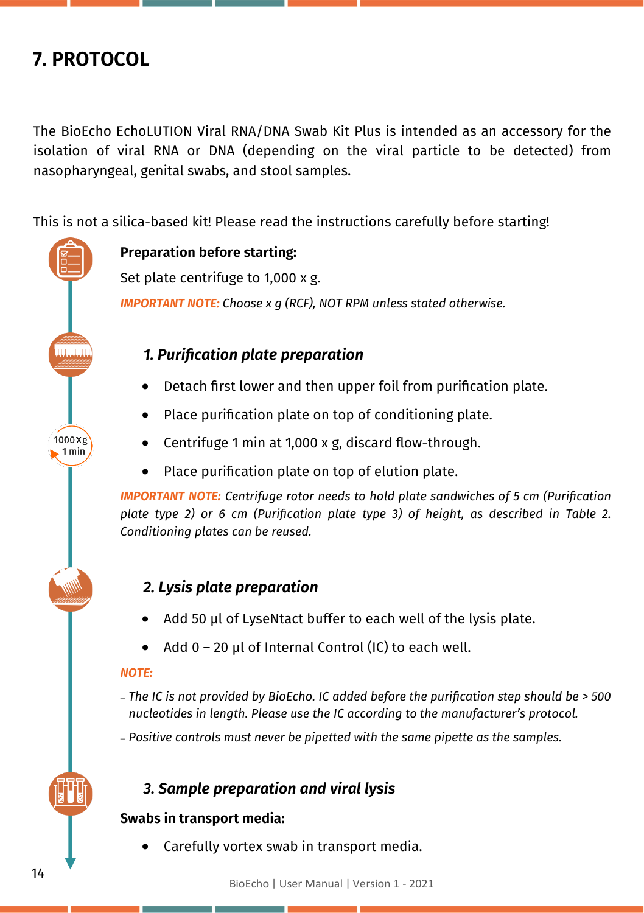## **7. PROTOCOL**

 $1000 \times g$  $.1 \text{min}$ 

The BioEcho EchoLUTION Viral RNA/DNA Swab Kit Plus is intended as an accessory for the isolation of viral RNA or DNA (depending on the viral particle to be detected) from nasopharyngeal, genital swabs, and stool samples.

This is not a silica-based kit! Please read the instructions carefully before starting!

**Preparation before starting:**

Set plate centrifuge to 1,000 x g. *IMPORTANT NOTE: Choose x g (RCF), NOT RPM unless stated otherwise.*

### *1. Purification plate preparation*

- Detach first lower and then upper foil from purification plate.
- Place purification plate on top of conditioning plate.
- Centrifuge 1 min at 1,000 x g, discard flow-through.
- Place purification plate on top of elution plate.

*IMPORTANT NOTE: Centrifuge rotor needs to hold plate sandwiches of 5 cm (Purification plate type 2) or 6 cm (Purification plate type 3) of height, as described in Table 2. Conditioning plates can be reused.*

## *2. Lysis plate preparation*

- Add 50 µl of LyseNtact buffer to each well of the lysis plate.
- Add  $0 20$  µl of Internal Control (IC) to each well.

#### *NOTE:*

- − *The IC is not provided by BioEcho. IC added before the purification step should be > 500 nucleotides in length. Please use the IC according to the manufacturer's protocol.*
- − *Positive controls must never be pipetted with the same pipette as the samples.*

## *3. Sample preparation and viral lysis*

### **Swabs in transport media:**

• Carefully vortex swab in transport media.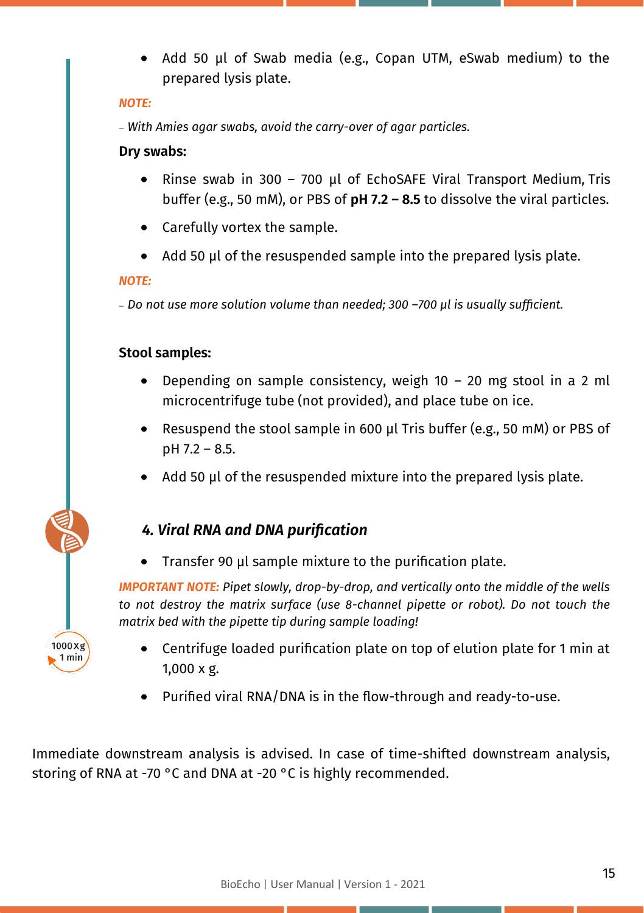• Add 50 µl of Swab media (e.g., Copan UTM, eSwab medium) to the prepared lysis plate.

#### *NOTE:*

− *With Amies agar swabs, avoid the carry-over of agar particles.*

#### **Dry swabs:**

- Rinse swab in 300 700 µl of EchoSAFE Viral Transport Medium, Tris buffer (e.g., 50 mM), or PBS of **pH 7.2 – 8.5** to dissolve the viral particles.
- Carefully vortex the sample.
- Add 50 µl of the resuspended sample into the prepared lysis plate.

#### *NOTE:*

 $1000Xg$  $1 min$ 

− *Do not use more solution volume than needed; 300 –700 μl is usually sufficient.*

#### **Stool samples:**

- Depending on sample consistency, weigh  $10 20$  mg stool in a 2 ml microcentrifuge tube (not provided), and place tube on ice.
- Resuspend the stool sample in 600 µl Tris buffer (e.g., 50 mM) or PBS of pH 7.2 – 8.5.
- Add 50 µl of the resuspended mixture into the prepared lysis plate.

#### *4. Viral RNA and DNA purification*

• Transfer 90 µl sample mixture to the purification plate.

*IMPORTANT NOTE: Pipet slowly, drop-by-drop, and vertically onto the middle of the wells to not destroy the matrix surface (use 8-channel pipette or robot). Do not touch the matrix bed with the pipette tip during sample loading!*

- Centrifuge loaded purification plate on top of elution plate for 1 min at 1,000 x g.
- Purified viral RNA/DNA is in the flow-through and ready-to-use.

Immediate downstream analysis is advised. In case of time-shifted downstream analysis, storing of RNA at -70 °C and DNA at -20 °C is highly recommended.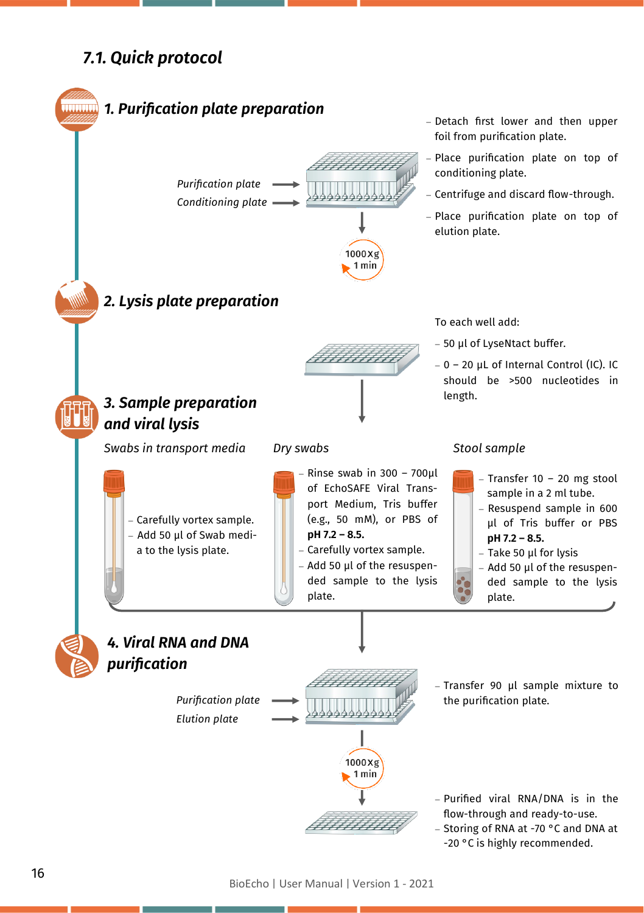## *7.1. Quick protocol*



BioEcho | User Manual | Version 1 - 2021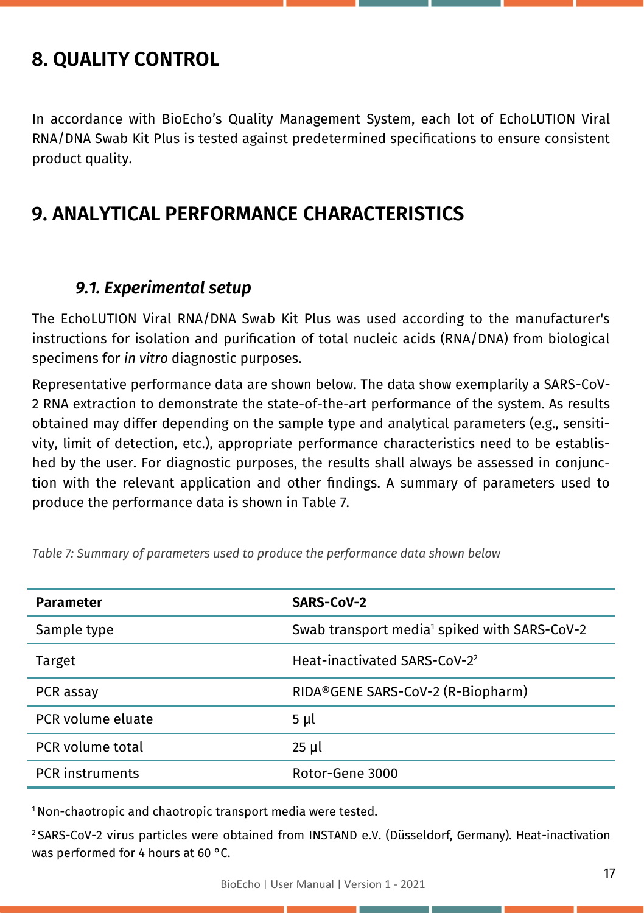## **8. QUALITY CONTROL**

In accordance with BioEcho's Quality Management System, each lot of EchoLUTION Viral RNA/DNA Swab Kit Plus is tested against predetermined specifications to ensure consistent product quality.

## **9. ANALYTICAL PERFORMANCE CHARACTERISTICS**

## *9.1. Experimental setup*

The EchoLUTION Viral RNA/DNA Swab Kit Plus was used according to the manufacturer's instructions for isolation and purification of total nucleic acids (RNA/DNA) from biological specimens for *in vitro* diagnostic purposes.

Representative performance data are shown below. The data show exemplarily a SARS-CoV-2 RNA extraction to demonstrate the state-of-the-art performance of the system. As results obtained may differ depending on the sample type and analytical parameters (e.g., sensitivity, limit of detection, etc.), appropriate performance characteristics need to be established by the user. For diagnostic purposes, the results shall always be assessed in conjunction with the relevant application and other findings. A summary of parameters used to produce the performance data is shown in Table 7.

| <b>Parameter</b>       | SARS-CoV-2                                               |
|------------------------|----------------------------------------------------------|
| Sample type            | Swab transport media <sup>1</sup> spiked with SARS-CoV-2 |
| Target                 | Heat-inactivated SARS-CoV-2 <sup>2</sup>                 |
| PCR assay              | RIDA®GENE SARS-CoV-2 (R-Biopharm)                        |
| PCR volume eluate      | $5 \mu l$                                                |
| PCR volume total       | 25 µl                                                    |
| <b>PCR</b> instruments | Rotor-Gene 3000                                          |

*Table 7: Summary of parameters used to produce the performance data shown below*

<sup>1</sup>Non-chaotropic and chaotropic transport media were tested.

<sup>2</sup>SARS-CoV-2 virus particles were obtained from INSTAND e.V. (Düsseldorf, Germany). Heat-inactivation was performed for 4 hours at 60 °C.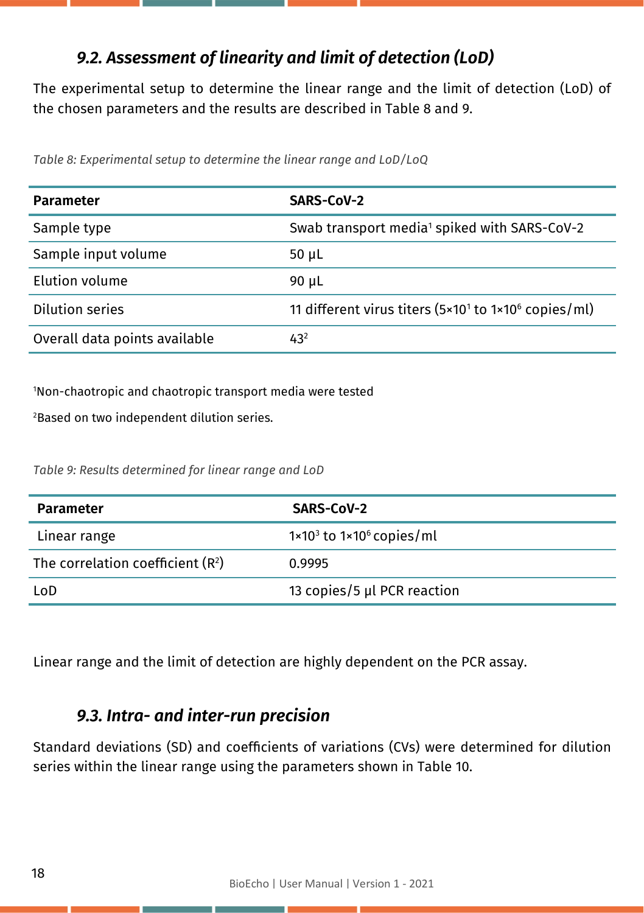## *9.2. Assessment of linearity and limit of detection (LoD)*

The experimental setup to determine the linear range and the limit of detection (LoD) of the chosen parameters and the results are described in Table 8 and 9.

*Table 8: Experimental setup to determine the linear range and LoD/LoQ*

| <b>Parameter</b>              | SARS-CoV-2                                                                   |
|-------------------------------|------------------------------------------------------------------------------|
| Sample type                   | Swab transport media <sup>1</sup> spiked with SARS-CoV-2                     |
| Sample input volume           | 50 $\mu$ L                                                                   |
| Elution volume                | 90 µL                                                                        |
| Dilution series               | 11 different virus titers (5×10 <sup>1</sup> to 1×10 <sup>6</sup> copies/ml) |
| Overall data points available | $43^{2}$                                                                     |

<sup>1</sup>Non-chaotropic and chaotropic transport media were tested

<sup>2</sup>Based on two independent dilution series.

*Table 9: Results determined for linear range and LoD*

| <b>Parameter</b>                   | SARS-CoV-2                                   |
|------------------------------------|----------------------------------------------|
| Linear range                       | $1 \times 10^3$ to $1 \times 10^6$ copies/ml |
| The correlation coefficient $(R2)$ | 0.9995                                       |
| LoD                                | 13 copies/5 µl PCR reaction                  |

Linear range and the limit of detection are highly dependent on the PCR assay.

## *9.3. Intra- and inter-run precision*

Standard deviations (SD) and coefficients of variations (CVs) were determined for dilution series within the linear range using the parameters shown in Table 10.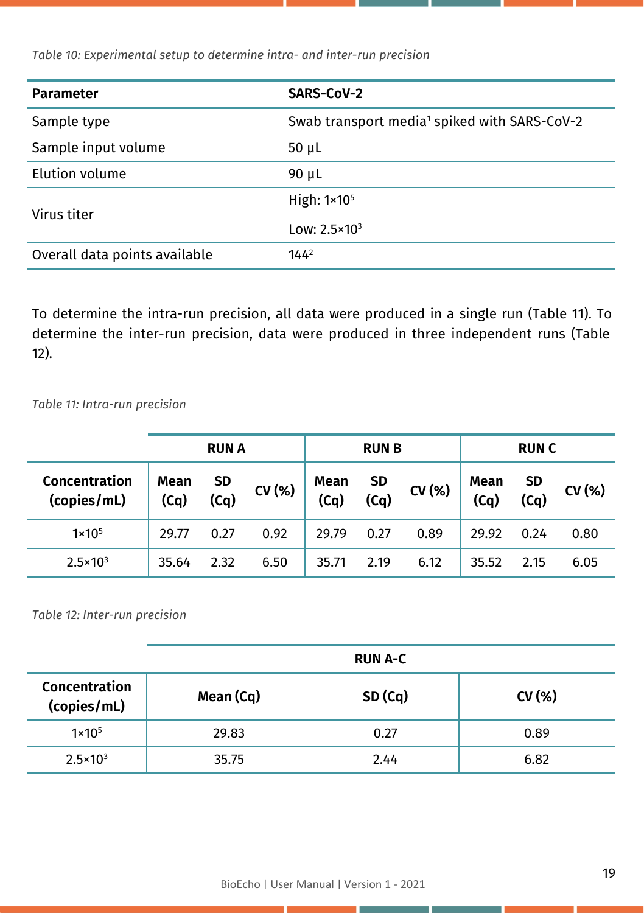**Parameter SARS-CoV-2** Sample type Swab transport media<sup>1</sup> spiked with SARS-CoV-2 Sample input volume 50 µL Elution volume 90 uL Virus titer High: 1×10<sup>5</sup> Low: 2.5×10<sup>3</sup> Overall data points available 144<sup>2</sup>

*Table 10: Experimental setup to determine intra- and inter-run precision*

To determine the intra-run precision, all data were produced in a single run (Table 11). To determine the inter-run precision, data were produced in three independent runs (Table 12).

*Table 11: Intra-run precision*

|                              | <b>RUN A</b> |                   | <b>RUNB</b> |              |                   | <b>RUNC</b> |              |                   |       |
|------------------------------|--------------|-------------------|-------------|--------------|-------------------|-------------|--------------|-------------------|-------|
| Concentration<br>(copies/mL) | Mean<br>(Cq) | <b>SD</b><br>(Cq) | CV(%)       | Mean<br>(Cq) | <b>SD</b><br>(Cq) | CV(%)       | Mean<br>(Cq) | <b>SD</b><br>(Cq) | CV(%) |
| $1 \times 10^{5}$            | 29.77        | 0.27              | 0.92        | 29.79        | 0.27              | 0.89        | 29.92        | 0.24              | 0.80  |
| $2.5 \times 10^{3}$          | 35.64        | 2.32              | 6.50        | 35.71        | 2.19              | 6.12        | 35.52        | 2.15              | 6.05  |

*Table 12: Inter-run precision*

|                              |           | <b>RUN A-C</b> |       |
|------------------------------|-----------|----------------|-------|
| Concentration<br>(copies/mL) | Mean (Cq) | SD(Cq)         | CV(%) |
| $1 \times 10^{5}$            | 29.83     | 0.27           | 0.89  |
| $2.5 \times 10^{3}$          | 35.75     | 2.44           | 6.82  |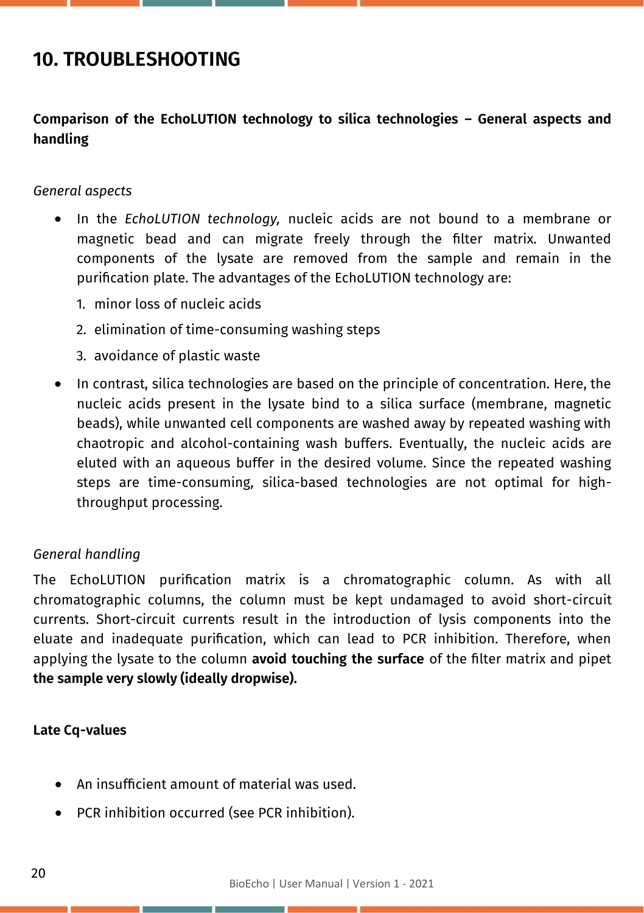## **10. TROUBLESHOOTING**

#### **Comparison of the EchoLUTION technology to silica technologies – General aspects and handling**

#### *General aspects*

- In the *EchoLUTION technology,* nucleic acids are not bound to a membrane or magnetic bead and can migrate freely through the filter matrix. Unwanted components of the lysate are removed from the sample and remain in the purification plate. The advantages of the EchoLUTION technology are:
	- 1. minor loss of nucleic acids
	- 2. elimination of time-consuming washing steps
	- 3. avoidance of plastic waste
- In contrast, silica technologies are based on the principle of concentration. Here, the nucleic acids present in the lysate bind to a silica surface (membrane, magnetic beads), while unwanted cell components are washed away by repeated washing with chaotropic and alcohol-containing wash buffers. Eventually, the nucleic acids are eluted with an aqueous buffer in the desired volume. Since the repeated washing steps are time-consuming, silica-based technologies are not optimal for highthroughput processing.

#### *General handling*

The EchoLUTION purification matrix is a chromatographic column. As with all chromatographic columns, the column must be kept undamaged to avoid short-circuit currents. Short-circuit currents result in the introduction of lysis components into the eluate and inadequate purification, which can lead to PCR inhibition. Therefore, when applying the lysate to the column **avoid touching the surface** of the filter matrix and pipet **the sample very slowly (ideally dropwise).**

#### **Late Cq-values**

- An insufficient amount of material was used.
- PCR inhibition occurred (see PCR inhibition).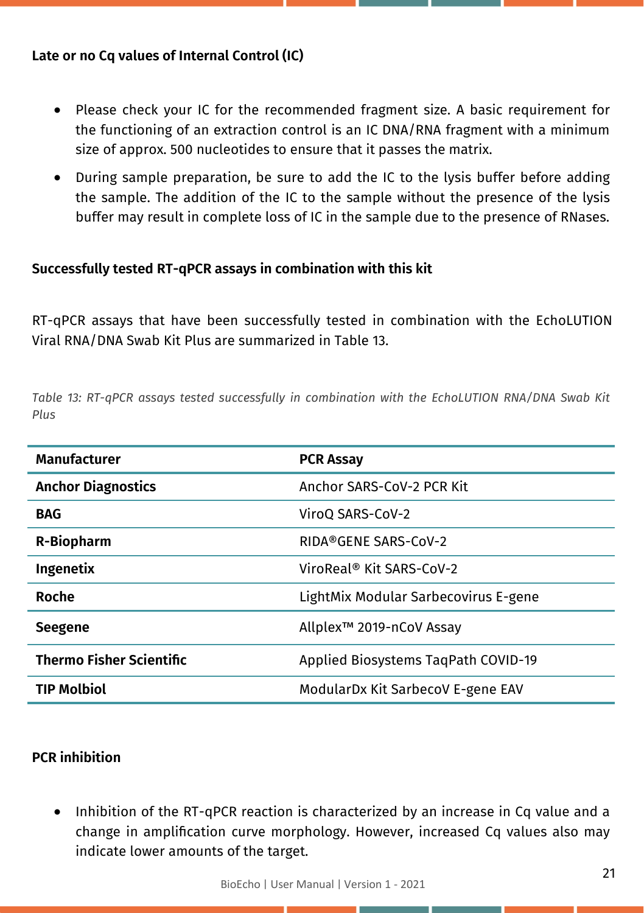#### **Late or no Cq values of Internal Control (IC)**

- Please check your IC for the recommended fragment size. A basic requirement for the functioning of an extraction control is an IC DNA/RNA fragment with a minimum size of approx. 500 nucleotides to ensure that it passes the matrix.
- During sample preparation, be sure to add the IC to the lysis buffer before adding the sample. The addition of the IC to the sample without the presence of the lysis buffer may result in complete loss of IC in the sample due to the presence of RNases.

#### **Successfully tested RT-qPCR assays in combination with this kit**

RT-qPCR assays that have been successfully tested in combination with the EchoLUTION Viral RNA/DNA Swab Kit Plus are summarized in Table 13.

*Table 13: RT-qPCR assays tested successfully in combination with the EchoLUTION RNA/DNA Swab Kit Plus*

| <b>Manufacturer</b>             | <b>PCR Assay</b>                     |
|---------------------------------|--------------------------------------|
| <b>Anchor Diagnostics</b>       | Anchor SARS-CoV-2 PCR Kit            |
| <b>BAG</b>                      | ViroQ SARS-CoV-2                     |
| R-Biopharm                      | RIDA®GENE SARS-CoV-2                 |
| <b>Ingenetix</b>                | ViroReal <sup>®</sup> Kit SARS-CoV-2 |
| Roche                           | LightMix Modular Sarbecovirus E-gene |
| Seegene                         | Allplex™ 2019-nCoV Assay             |
| <b>Thermo Fisher Scientific</b> | Applied Biosystems TagPath COVID-19  |
| <b>TIP Molbiol</b>              | ModularDx Kit SarbecoV E-gene EAV    |

#### **PCR inhibition**

• Inhibition of the RT-qPCR reaction is characterized by an increase in Cq value and a change in amplification curve morphology. However, increased Cq values also may indicate lower amounts of the target.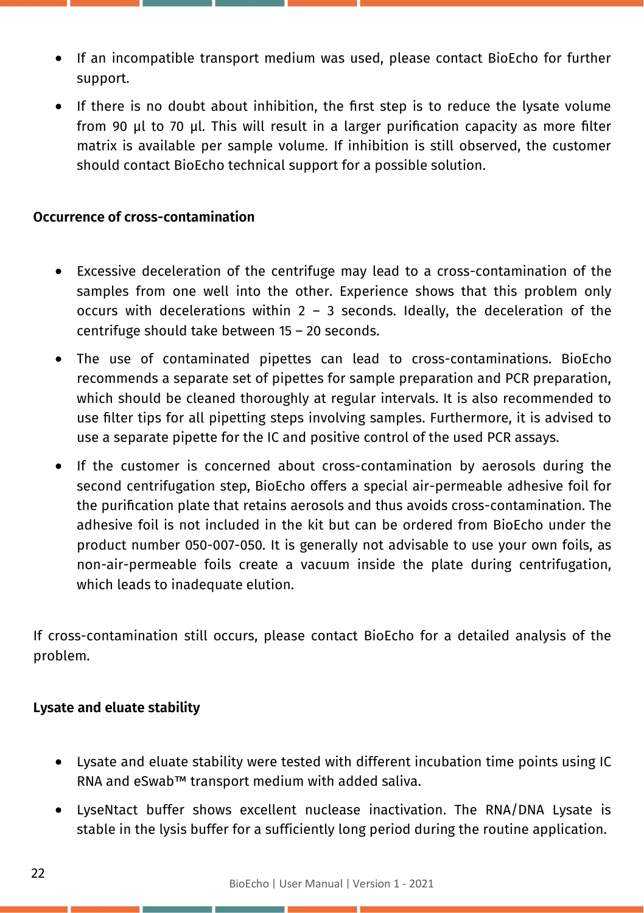- If an incompatible transport medium was used, please contact BioEcho for further support.
- If there is no doubt about inhibition, the first step is to reduce the lysate volume from 90 µl to 70 µl. This will result in a larger purification capacity as more filter matrix is available per sample volume. If inhibition is still observed, the customer should contact BioEcho technical support for a possible solution.

#### **Occurrence of cross-contamination**

- Excessive deceleration of the centrifuge may lead to a cross-contamination of the samples from one well into the other. Experience shows that this problem only occurs with decelerations within  $2 - 3$  seconds. Ideally, the deceleration of the centrifuge should take between 15 – 20 seconds.
- The use of contaminated pipettes can lead to cross-contaminations. BioEcho recommends a separate set of pipettes for sample preparation and PCR preparation, which should be cleaned thoroughly at regular intervals. It is also recommended to use filter tips for all pipetting steps involving samples. Furthermore, it is advised to use a separate pipette for the IC and positive control of the used PCR assays.
- If the customer is concerned about cross-contamination by aerosols during the second centrifugation step, BioEcho offers a special air-permeable adhesive foil for the purification plate that retains aerosols and thus avoids cross-contamination. The adhesive foil is not included in the kit but can be ordered from BioEcho under the product number 050-007-050. It is generally not advisable to use your own foils, as non-air-permeable foils create a vacuum inside the plate during centrifugation, which leads to inadequate elution.

If cross-contamination still occurs, please contact BioEcho for a detailed analysis of the problem.

#### **Lysate and eluate stability**

- Lysate and eluate stability were tested with different incubation time points using IC RNA and eSwab™ transport medium with added saliva.
- LyseNtact buffer shows excellent nuclease inactivation. The RNA/DNA Lysate is stable in the lysis buffer for a sufficiently long period during the routine application.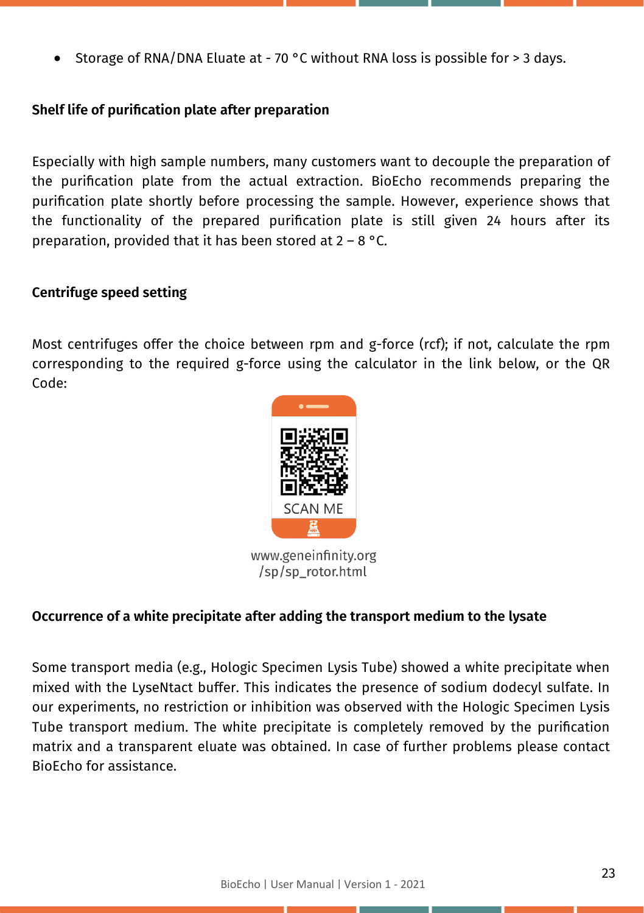Storage of RNA/DNA Eluate at - 70 °C without RNA loss is possible for > 3 days.

#### **Shelf life of purification plate after preparation**

Especially with high sample numbers, many customers want to decouple the preparation of the purification plate from the actual extraction. BioEcho recommends preparing the purification plate shortly before processing the sample. However, experience shows that the functionality of the prepared purification plate is still given 24 hours after its preparation, provided that it has been stored at  $2 - 8$  °C.

#### **Centrifuge speed setting**

Most centrifuges offer the choice between rpm and g-force (rcf); if not, calculate the rpm corresponding to the required g-force using the calculator in the link below, or the QR Code:



#### **Occurrence of a white precipitate after adding the transport medium to the lysate**

Some transport media (e.g., Hologic Specimen Lysis Tube) showed a white precipitate when mixed with the LyseNtact buffer. This indicates the presence of sodium dodecyl sulfate. In our experiments, no restriction or inhibition was observed with the Hologic Specimen Lysis Tube transport medium. The white precipitate is completely removed by the purification matrix and a transparent eluate was obtained. In case of further problems please contact BioEcho for assistance.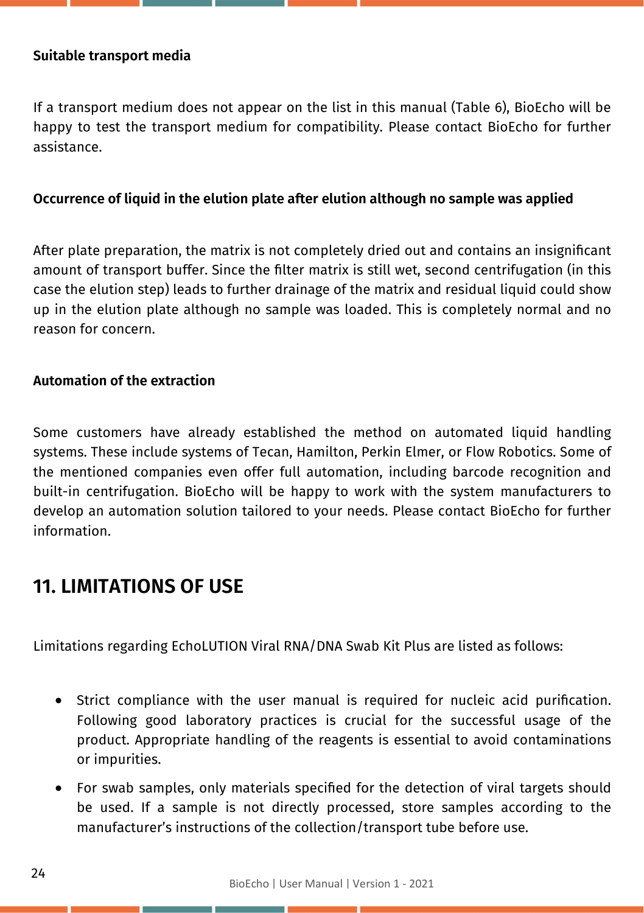#### **Suitable transport media**

If a transport medium does not appear on the list in this manual (Table 6), BioEcho will be happy to test the transport medium for compatibility. Please contact BioEcho for further assistance.

#### **Occurrence of liquid in the elution plate after elution although no sample was applied**

After plate preparation, the matrix is not completely dried out and contains an insignificant amount of transport buffer. Since the filter matrix is still wet, second centrifugation (in this case the elution step) leads to further drainage of the matrix and residual liquid could show up in the elution plate although no sample was loaded. This is completely normal and no reason for concern.

#### **Automation of the extraction**

Some customers have already established the method on automated liquid handling systems. These include systems of Tecan, Hamilton, Perkin Elmer, or Flow Robotics. Some of the mentioned companies even offer full automation, including barcode recognition and built-in centrifugation. BioEcho will be happy to work with the system manufacturers to develop an automation solution tailored to your needs. Please contact BioEcho for further information.

## **11. LIMITATIONS OF USE**

Limitations regarding EchoLUTION Viral RNA/DNA Swab Kit Plus are listed as follows:

- Strict compliance with the user manual is required for nucleic acid purification. Following good laboratory practices is crucial for the successful usage of the product. Appropriate handling of the reagents is essential to avoid contaminations or impurities.
- For swab samples, only materials specified for the detection of viral targets should be used. If a sample is not directly processed, store samples according to the manufacturer's instructions of the collection/transport tube before use.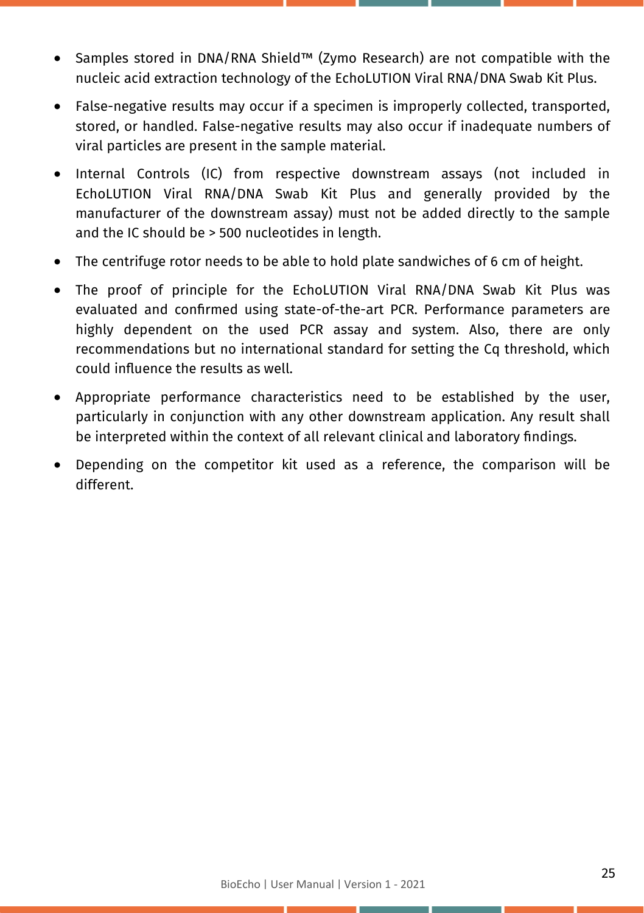- Samples stored in DNA/RNA Shield™ (Zymo Research) are not compatible with the nucleic acid extraction technology of the EchoLUTION Viral RNA/DNA Swab Kit Plus.
- False-negative results may occur if a specimen is improperly collected, transported, stored, or handled. False-negative results may also occur if inadequate numbers of viral particles are present in the sample material.
- Internal Controls (IC) from respective downstream assays (not included in EchoLUTION Viral RNA/DNA Swab Kit Plus and generally provided by the manufacturer of the downstream assay) must not be added directly to the sample and the IC should be > 500 nucleotides in length.
- The centrifuge rotor needs to be able to hold plate sandwiches of 6 cm of height.
- The proof of principle for the EchoLUTION Viral RNA/DNA Swab Kit Plus was evaluated and confirmed using state-of-the-art PCR. Performance parameters are highly dependent on the used PCR assay and system. Also, there are only recommendations but no international standard for setting the Cq threshold, which could influence the results as well.
- Appropriate performance characteristics need to be established by the user, particularly in conjunction with any other downstream application. Any result shall be interpreted within the context of all relevant clinical and laboratory findings.
- Depending on the competitor kit used as a reference, the comparison will be different.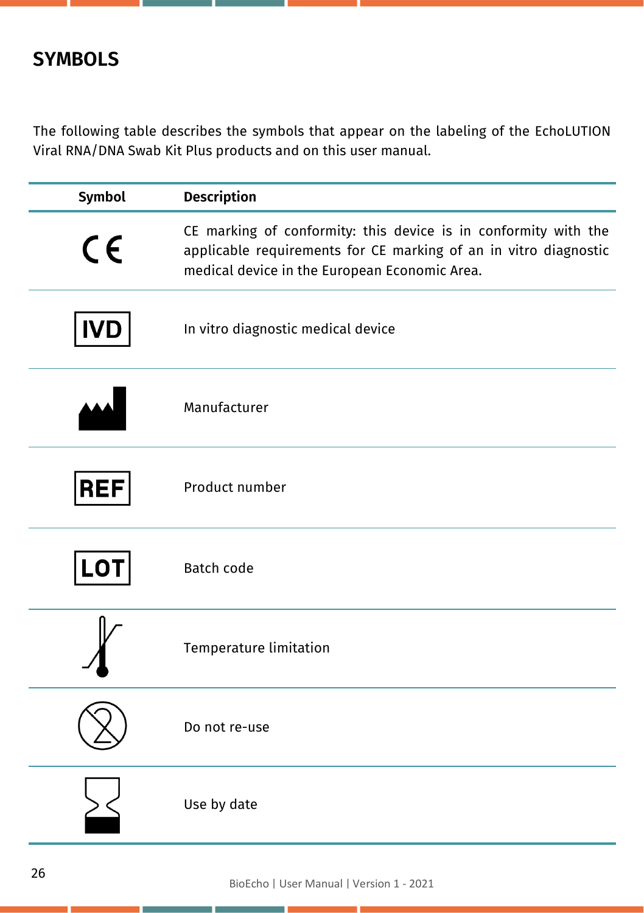## **SYMBOLS**

The following table describes the symbols that appear on the labeling of the EchoLUTION Viral RNA/DNA Swab Kit Plus products and on this user manual.

| Symbol     | <b>Description</b>                                                                                                                                                                   |
|------------|--------------------------------------------------------------------------------------------------------------------------------------------------------------------------------------|
| CE         | CE marking of conformity: this device is in conformity with the<br>applicable requirements for CE marking of an in vitro diagnostic<br>medical device in the European Economic Area. |
| <b>IVD</b> | In vitro diagnostic medical device                                                                                                                                                   |
|            | Manufacturer                                                                                                                                                                         |
| <b>REF</b> | Product number                                                                                                                                                                       |
| <b>LOT</b> | <b>Batch code</b>                                                                                                                                                                    |
|            | Temperature limitation                                                                                                                                                               |
|            | Do not re-use                                                                                                                                                                        |
|            | Use by date                                                                                                                                                                          |